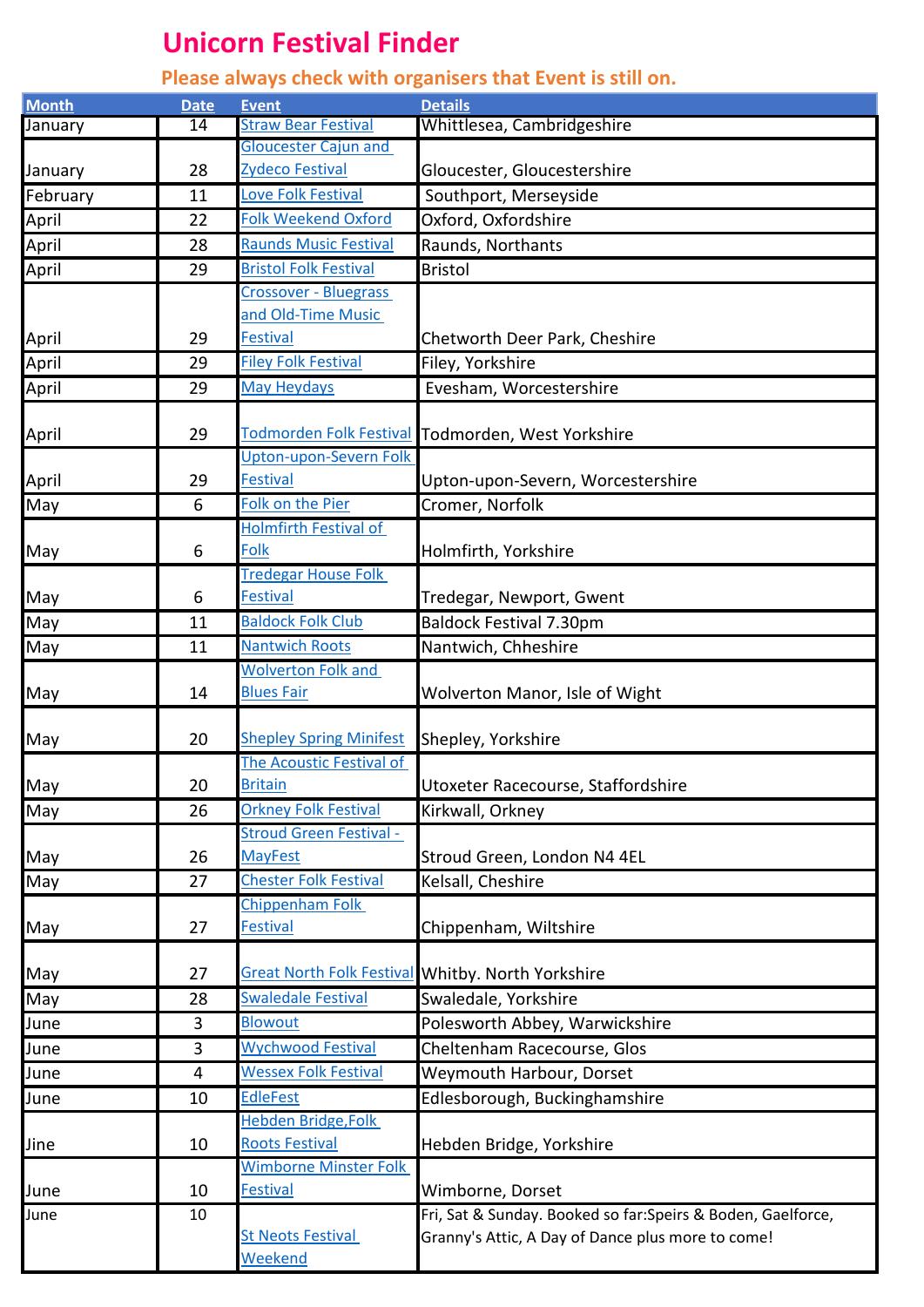## **Unicorn Festival Finder**

## **Please always check with organisers that Event is still on.**

| <b>Month</b>   | <b>Date</b> | <b>Event</b>                       | <b>Details</b>                                               |
|----------------|-------------|------------------------------------|--------------------------------------------------------------|
| <b>January</b> | 14          | <b>Straw Bear Festival</b>         | Whittlesea, Cambridgeshire                                   |
|                |             | <b>Gloucester Cajun and</b>        |                                                              |
| January        | 28          | Zydeco Festival                    | Gloucester, Gloucestershire                                  |
| February       | 11          | Love Folk Festival                 | Southport, Merseyside                                        |
| April          | 22          | <b>Folk Weekend Oxford</b>         | Oxford, Oxfordshire                                          |
| April          | 28          | <b>Raunds Music Festival</b>       | Raunds, Northants                                            |
| April          | 29          | <b>Bristol Folk Festival</b>       | <b>Bristol</b>                                               |
|                |             | <b>Crossover - Bluegrass</b>       |                                                              |
|                |             | and Old-Time Music                 |                                                              |
| April          | 29          | <b>Festival</b>                    | Chetworth Deer Park, Cheshire                                |
| April          | 29          | <b>Filey Folk Festival</b>         | Filey, Yorkshire                                             |
| April          | 29          | <b>May Heydays</b>                 | Evesham, Worcestershire                                      |
|                |             | <b>Todmorden Folk Festival</b>     |                                                              |
| April          | 29          | Upton-upon-Severn Folk             | Todmorden, West Yorkshire                                    |
| April          | 29          | <b>Festival</b>                    | Upton-upon-Severn, Worcestershire                            |
| May            | 6           | Folk on the Pier                   | Cromer, Norfolk                                              |
|                |             | <b>Holmfirth Festival of</b>       |                                                              |
| May            | 6           | Folk                               | Holmfirth, Yorkshire                                         |
|                |             | <b>Tredegar House Folk</b>         |                                                              |
| May            | 6           | <b>Festival</b>                    | Tredegar, Newport, Gwent                                     |
| May            | 11          | <b>Baldock Folk Club</b>           | <b>Baldock Festival 7.30pm</b>                               |
| May            | 11          | <b>Nantwich Roots</b>              | Nantwich, Chheshire                                          |
|                |             | <b>Wolverton Folk and</b>          |                                                              |
| May            | 14          | <b>Blues Fair</b>                  | Wolverton Manor, Isle of Wight                               |
|                |             |                                    |                                                              |
| May            | 20          | <b>Shepley Spring Minifest</b>     | Shepley, Yorkshire                                           |
|                |             | The Acoustic Festival of           |                                                              |
| May            | 20          | <b>Britain</b>                     | Utoxeter Racecourse, Staffordshire                           |
| May            | 26          | <b>Orkney Folk Festival</b>        | Kirkwall, Orkney                                             |
|                |             | <b>Stroud Green Festival -</b>     |                                                              |
| May            | 26          | <b>MayFest</b>                     | Stroud Green, London N4 4EL                                  |
| May            | 27          | <b>Chester Folk Festival</b>       | Kelsall, Cheshire                                            |
|                |             | Chippenham Folk<br><b>Festival</b> |                                                              |
| May            | 27          |                                    | Chippenham, Wiltshire                                        |
| May            | 27          |                                    | Great North Folk Festival Whitby. North Yorkshire            |
| May            | 28          | <b>Swaledale Festival</b>          | Swaledale, Yorkshire                                         |
| June           | 3           | <b>Blowout</b>                     | Polesworth Abbey, Warwickshire                               |
| June           | 3           | <b>Wychwood Festival</b>           | Cheltenham Racecourse, Glos                                  |
| June           | 4           | <b>Wessex Folk Festival</b>        | Weymouth Harbour, Dorset                                     |
| June           | 10          | <b>EdleFest</b>                    | Edlesborough, Buckinghamshire                                |
|                |             | Hebden Bridge, Folk                |                                                              |
| Jine           | 10          | <b>Roots Festival</b>              | Hebden Bridge, Yorkshire                                     |
|                |             | <b>Wimborne Minster Folk</b>       |                                                              |
| June           | 10          | <b>Festival</b>                    | Wimborne, Dorset                                             |
| June           | 10          |                                    | Fri, Sat & Sunday. Booked so far: Speirs & Boden, Gaelforce, |
|                |             | <b>St Neots Festival</b>           | Granny's Attic, A Day of Dance plus more to come!            |
|                |             | Weekend                            |                                                              |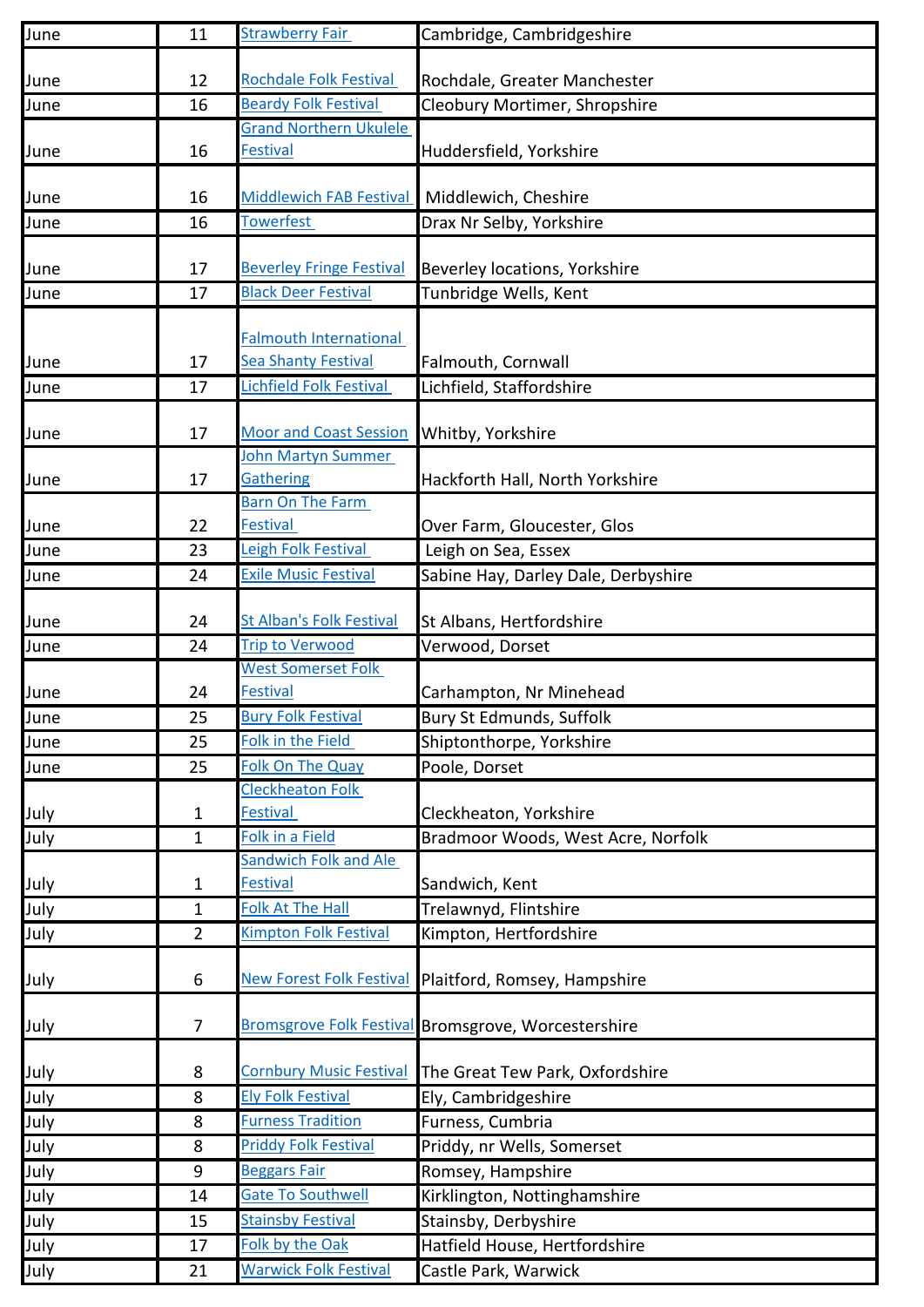| June | 11             | <b>Strawberry Fair</b>                                       | Cambridge, Cambridgeshire                                  |
|------|----------------|--------------------------------------------------------------|------------------------------------------------------------|
|      |                |                                                              |                                                            |
| June | 12             | <b>Rochdale Folk Festival</b>                                | Rochdale, Greater Manchester                               |
| June | 16             | <b>Beardy Folk Festival</b><br><b>Grand Northern Ukulele</b> | Cleobury Mortimer, Shropshire                              |
| June | 16             | <b>Festival</b>                                              | Huddersfield, Yorkshire                                    |
|      |                |                                                              |                                                            |
| June | 16             | <b>Middlewich FAB Festival</b>                               | Middlewich, Cheshire                                       |
| June | 16             | <b>Towerfest</b>                                             | Drax Nr Selby, Yorkshire                                   |
|      |                |                                                              |                                                            |
| June | 17             | <b>Beverley Fringe Festival</b>                              | Beverley locations, Yorkshire                              |
| June | 17             | <b>Black Deer Festival</b>                                   | Tunbridge Wells, Kent                                      |
|      |                | <b>Falmouth International</b>                                |                                                            |
| June | 17             | <b>Sea Shanty Festival</b>                                   | Falmouth, Cornwall                                         |
| June | 17             | <b>Lichfield Folk Festival</b>                               | Lichfield, Staffordshire                                   |
|      |                |                                                              |                                                            |
| June | 17             | <b>Moor and Coast Session</b>                                | Whitby, Yorkshire                                          |
|      |                | <b>John Martyn Summer</b>                                    |                                                            |
| June | 17             | <b>Gathering</b>                                             | Hackforth Hall, North Yorkshire                            |
|      |                | <b>Barn On The Farm</b>                                      |                                                            |
| June | 22             | <b>Festival</b>                                              | Over Farm, Gloucester, Glos                                |
| June | 23             | Leigh Folk Festival                                          | Leigh on Sea, Essex                                        |
| June | 24             | <b>Exile Music Festival</b>                                  | Sabine Hay, Darley Dale, Derbyshire                        |
| June | 24             | <b>St Alban's Folk Festival</b>                              | St Albans, Hertfordshire                                   |
| June | 24             | <b>Trip to Verwood</b>                                       | Verwood, Dorset                                            |
|      |                | <b>West Somerset Folk</b>                                    |                                                            |
| June | 24             | <b>Festival</b>                                              | Carhampton, Nr Minehead                                    |
| June | 25             | <b>Bury Folk Festival</b>                                    | <b>Bury St Edmunds, Suffolk</b>                            |
| June | 25             | Folk in the Field                                            | Shiptonthorpe, Yorkshire                                   |
| June | 25             | <b>Folk On The Quay</b>                                      | Poole, Dorset                                              |
|      |                | <b>Cleckheaton Folk</b>                                      |                                                            |
| July | $\mathbf{1}$   | <b>Festival</b>                                              | Cleckheaton, Yorkshire                                     |
| July | 1              | <b>Folk in a Field</b>                                       | Bradmoor Woods, West Acre, Norfolk                         |
|      |                | Sandwich Folk and Ale                                        |                                                            |
| July | $\mathbf{1}$   | <b>Festival</b>                                              | Sandwich, Kent                                             |
| July | $\mathbf{1}$   | <b>Folk At The Hall</b>                                      | Trelawnyd, Flintshire                                      |
| July | $\overline{2}$ | <b>Kimpton Folk Festival</b>                                 | Kimpton, Hertfordshire                                     |
| July | 6              | <b>New Forest Folk Festival</b>                              | Plaitford, Romsey, Hampshire                               |
|      |                |                                                              |                                                            |
| July | $\overline{7}$ |                                                              | <b>Bromsgrove Folk Festival Bromsgrove, Worcestershire</b> |
|      |                |                                                              |                                                            |
| July | 8              | <b>Cornbury Music Festival</b>                               | The Great Tew Park, Oxfordshire                            |
| July | 8              | <b>Ely Folk Festival</b>                                     | Ely, Cambridgeshire                                        |
| July | 8              | <b>Furness Tradition</b>                                     | Furness, Cumbria                                           |
| July | 8              | <b>Priddy Folk Festival</b>                                  | Priddy, nr Wells, Somerset                                 |
| July | 9              | <b>Beggars Fair</b>                                          | Romsey, Hampshire                                          |
| July | 14             | <b>Gate To Southwell</b>                                     | Kirklington, Nottinghamshire                               |
| July | 15             | <b>Stainsby Festival</b>                                     | Stainsby, Derbyshire                                       |
| July | 17             | Folk by the Oak                                              | Hatfield House, Hertfordshire                              |
| July | 21             | <b>Warwick Folk Festival</b>                                 | Castle Park, Warwick                                       |